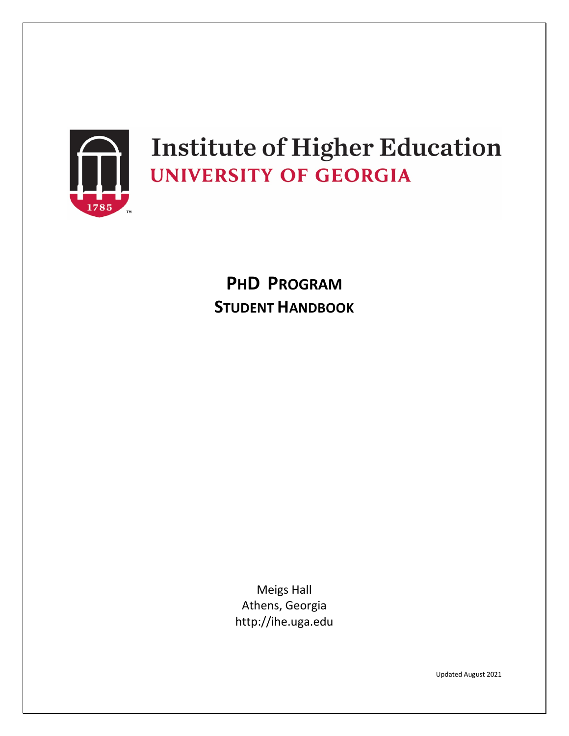

# **Institute of Higher Education UNIVERSITY OF GEORGIA**

**PHD PROGRAM STUDENT HANDBOOK**

> Meigs Hall Athens, Georgia http://ihe.uga.edu

> > Updated August 2021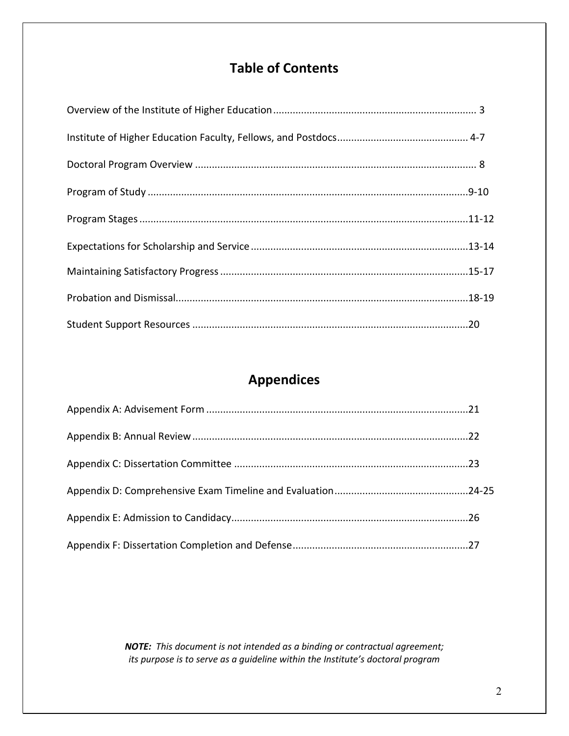# **Table of Contents**

# **Appendices**

*NOTE: This document is not intended as a binding or contractual agreement; its purpose is to serve as a guideline within the Institute's doctoral program*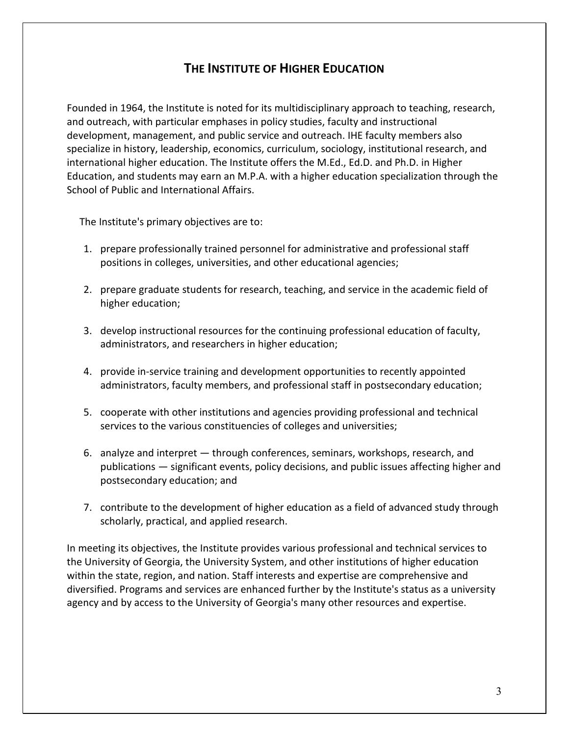# **THE INSTITUTE OF HIGHER EDUCATION**

Founded in 1964, the Institute is noted for its multidisciplinary approach to teaching, research, and outreach, with particular emphases in policy studies, faculty and instructional development, management, and public service and outreach. IHE faculty members also specialize in history, leadership, economics, curriculum, sociology, institutional research, and international higher education. The Institute offers the M.Ed., Ed.D. and Ph.D. in Higher Education, and students may earn an M.P.A. with a higher education specialization through the School of Public and International Affairs.

The Institute's primary objectives are to:

- 1. prepare professionally trained personnel for administrative and professional staff positions in colleges, universities, and other educational agencies;
- 2. prepare graduate students for research, teaching, and service in the academic field of higher education;
- 3. develop instructional resources for the continuing professional education of faculty, administrators, and researchers in higher education;
- 4. provide in-service training and development opportunities to recently appointed administrators, faculty members, and professional staff in postsecondary education;
- 5. cooperate with other institutions and agencies providing professional and technical services to the various constituencies of colleges and universities;
- 6. analyze and interpret through conferences, seminars, workshops, research, and publications — significant events, policy decisions, and public issues affecting higher and postsecondary education; and
- 7. contribute to the development of higher education as a field of advanced study through scholarly, practical, and applied research.

In meeting its objectives, the Institute provides various professional and technical services to the University of Georgia, the University System, and other institutions of higher education within the state, region, and nation. Staff interests and expertise are comprehensive and diversified. Programs and services are enhanced further by the Institute's status as a university agency and by access to the University of Georgia's many other resources and expertise.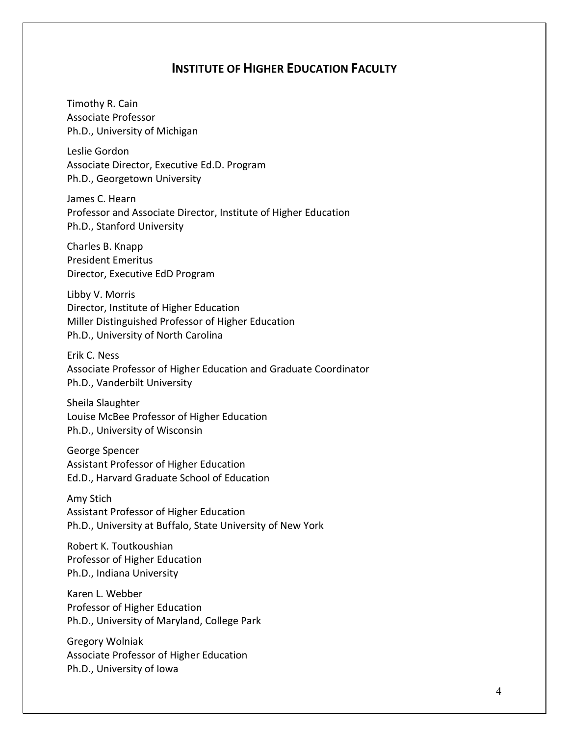#### **INSTITUTE OF HIGHER EDUCATION FACULTY**

Timothy R. Cain Associate Professor Ph.D., University of Michigan

Leslie Gordon Associate Director, Executive Ed.D. Program Ph.D., Georgetown University

James C. Hearn Professor and Associate Director, Institute of Higher Education Ph.D., Stanford University

Charles B. Knapp President Emeritus Director, Executive EdD Program

Libby V. Morris Director, Institute of Higher Education Miller Distinguished Professor of Higher Education Ph.D., University of North Carolina

Erik C. Ness Associate Professor of Higher Education and Graduate Coordinator Ph.D., Vanderbilt University

Sheila Slaughter Louise McBee Professor of Higher Education Ph.D., University of Wisconsin

George Spencer Assistant Professor of Higher Education Ed.D., Harvard Graduate School of Education

Amy Stich Assistant Professor of Higher Education Ph.D., University at Buffalo, State University of New York

Robert K. Toutkoushian Professor of Higher Education Ph.D., Indiana University

Karen L. Webber Professor of Higher Education Ph.D., University of Maryland, College Park

Gregory Wolniak Associate Professor of Higher Education Ph.D., University of Iowa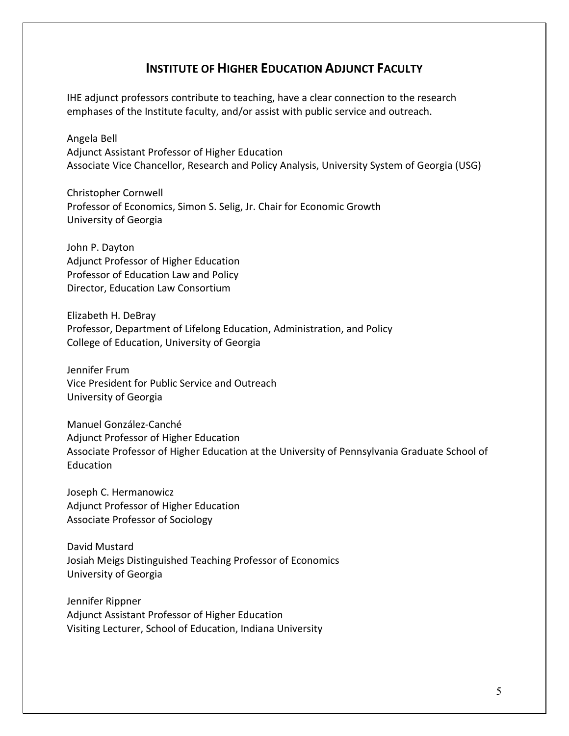### **INSTITUTE OF HIGHER EDUCATION ADJUNCT FACULTY**

IHE adjunct professors contribute to teaching, have a clear connection to the research emphases of the Institute faculty, and/or assist with public service and outreach.

Angela Bell Adjunct Assistant Professor of Higher Education Associate Vice Chancellor, Research and Policy Analysis, University System of Georgia (USG)

Christopher Cornwell Professor of Economics, Simon S. Selig, Jr. Chair for Economic Growth University of Georgia

John P. Dayton Adjunct Professor of Higher Education Professor of Education Law and Policy Director, Education Law Consortium

Elizabeth H. DeBray Professor, Department of Lifelong Education, Administration, and Policy College of Education, University of Georgia

Jennifer Frum Vice President for Public Service and Outreach University of Georgia

Manuel González-Canché Adjunct Professor of Higher Education Associate Professor of Higher Education at the University of Pennsylvania Graduate School of Education

Joseph C. Hermanowicz Adjunct Professor of Higher Education Associate Professor of Sociology

David Mustard Josiah Meigs Distinguished Teaching Professor of Economics University of Georgia

Jennifer Rippner Adjunct Assistant Professor of Higher Education Visiting Lecturer, School of Education, Indiana University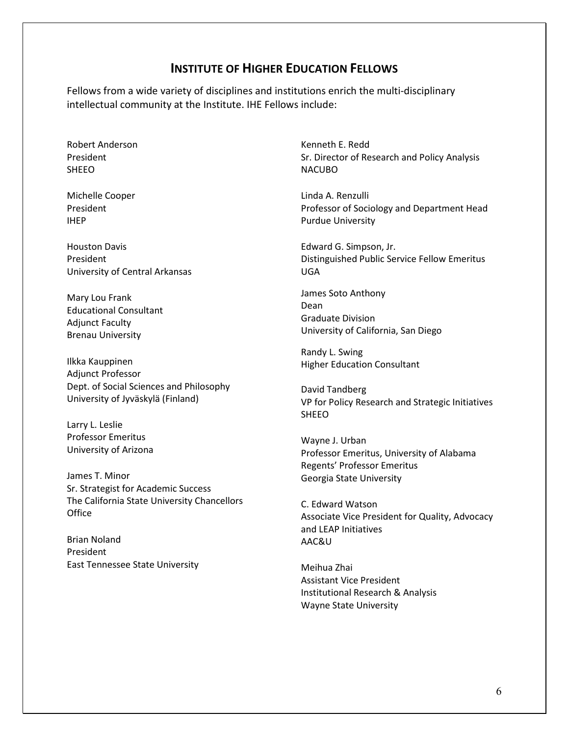#### **INSTITUTE OF HIGHER EDUCATION FELLOWS**

Fellows from a wide variety of disciplines and institutions enrich the multi-disciplinary intellectual community at the Institute. IHE Fellows include:

Robert Anderson President SHEEO

Michelle Cooper President IHEP

Houston Davis President University of Central Arkansas

Mary Lou Frank Educational Consultant Adjunct Faculty Brenau University

Ilkka Kauppinen Adjunct Professor Dept. of Social Sciences and Philosophy University of Jyväskylä (Finland)

Larry L. Leslie Professor Emeritus University of Arizona

James T. Minor Sr. Strategist for Academic Success The California State University Chancellors Office

Brian Noland President East Tennessee State University Kenneth E. Redd Sr. Director of Research and Policy Analysis NACUBO

Linda A. Renzulli Professor of Sociology and Department Head Purdue University

Edward G. Simpson, Jr. Distinguished Public Service Fellow Emeritus UGA

James Soto Anthony Dean Graduate Division University of California, San Diego

Randy L. Swing Higher Education Consultant

David Tandberg VP for Policy Research and Strategic Initiatives SHEEO

Wayne J. Urban Professor Emeritus, University of Alabama Regents' Professor Emeritus Georgia State University

C. Edward Watson Associate Vice President for Quality, Advocacy and LEAP Initiatives AAC&U

Meihua Zhai Assistant Vice President Institutional Research & Analysis Wayne State University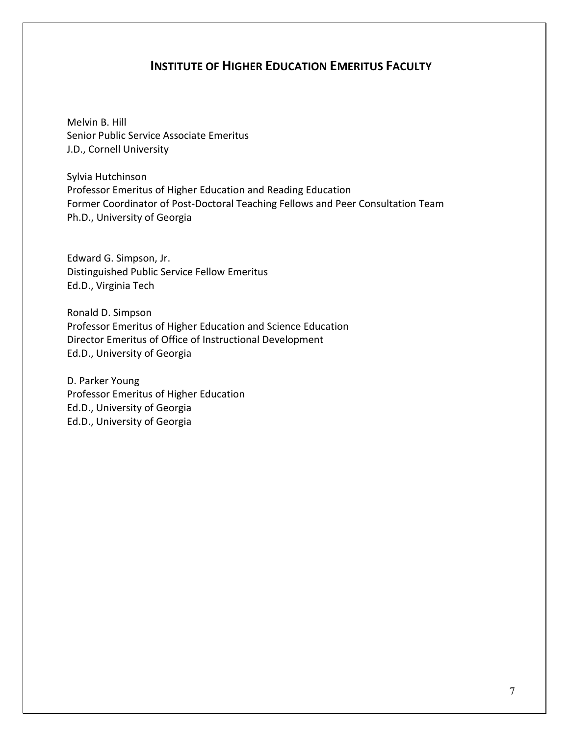#### **INSTITUTE OF HIGHER EDUCATION EMERITUS FACULTY**

Melvin B. Hill Senior Public Service Associate Emeritus J.D., Cornell University

Sylvia Hutchinson Professor Emeritus of Higher Education and Reading Education Former Coordinator of Post-Doctoral Teaching Fellows and Peer Consultation Team Ph.D., University of Georgia

Edward G. Simpson, Jr. Distinguished Public Service Fellow Emeritus Ed.D., Virginia Tech

Ronald D. Simpson Professor Emeritus of Higher Education and Science Education Director Emeritus of Office of Instructional Development Ed.D., University of Georgia

D. Parker Young Professor Emeritus of Higher Education Ed.D., University of Georgia Ed.D., University of Georgia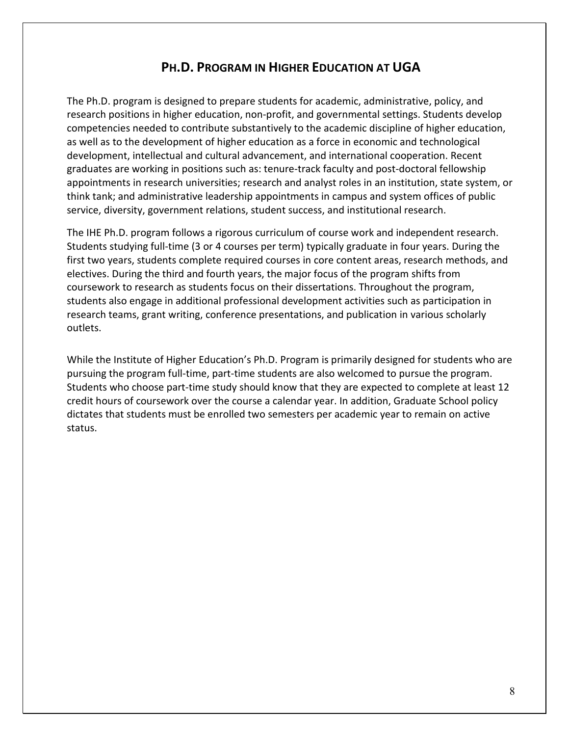## **PH.D. PROGRAM IN HIGHER EDUCATION AT UGA**

The Ph.D. program is designed to prepare students for academic, administrative, policy, and research positions in higher education, non-profit, and governmental settings. Students develop competencies needed to contribute substantively to the academic discipline of higher education, as well as to the development of higher education as a force in economic and technological development, intellectual and cultural advancement, and international cooperation. Recent graduates are working in positions such as: tenure-track faculty and post-doctoral fellowship appointments in research universities; research and analyst roles in an institution, state system, or think tank; and administrative leadership appointments in campus and system offices of public service, diversity, government relations, student success, and institutional research.

The IHE Ph.D. program follows a rigorous curriculum of course work and independent research. Students studying full-time (3 or 4 courses per term) typically graduate in four years. During the first two years, students complete required courses in core content areas, research methods, and electives. During the third and fourth years, the major focus of the program shifts from coursework to research as students focus on their dissertations. Throughout the program, students also engage in additional professional development activities such as participation in research teams, grant writing, conference presentations, and publication in various scholarly outlets.

While the Institute of Higher Education's Ph.D. Program is primarily designed for students who are pursuing the program full-time, part-time students are also welcomed to pursue the program. Students who choose part-time study should know that they are expected to complete at least 12 credit hours of coursework over the course a calendar year. In addition, Graduate School policy dictates that students must be enrolled two semesters per academic year to remain on active status.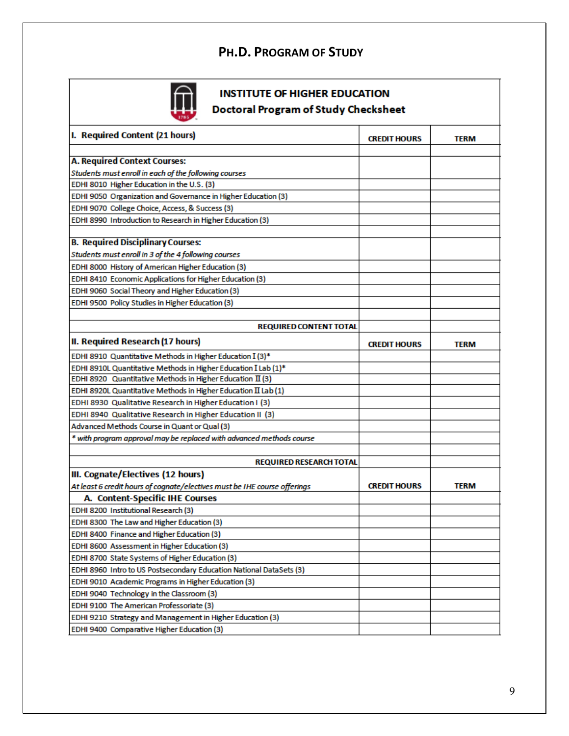# **PH.D. PROGRAM OF STUDY**



# **INSTITUTE OF HIGHER EDUCATION**

**Doctoral Program of Study Checksheet** 

| I. Required Content (21 hours)                                                                      | <b>CREDIT HOURS</b> | TERM        |
|-----------------------------------------------------------------------------------------------------|---------------------|-------------|
| <b>A. Required Context Courses:</b>                                                                 |                     |             |
|                                                                                                     |                     |             |
| Students must enroll in each of the following courses<br>EDHI 8010 Higher Education in the U.S. (3) |                     |             |
|                                                                                                     |                     |             |
| EDHI 9050 Organization and Governance in Higher Education (3)                                       |                     |             |
| EDHI 9070 College Choice, Access, & Success (3)                                                     |                     |             |
| EDHI 8990 Introduction to Research in Higher Education (3)                                          |                     |             |
| <b>B. Required Disciplinary Courses:</b>                                                            |                     |             |
| Students must enroll in 3 of the 4 following courses                                                |                     |             |
| EDHI 8000 History of American Higher Education (3)                                                  |                     |             |
| EDHI 8410 Economic Applications for Higher Education (3)                                            |                     |             |
| EDHI 9060 Social Theory and Higher Education (3)                                                    |                     |             |
| EDHI 9500 Policy Studies in Higher Education (3)                                                    |                     |             |
|                                                                                                     |                     |             |
| <b>REQUIRED CONTENT TOTAL</b>                                                                       |                     |             |
| II. Required Research (17 hours)                                                                    | <b>CREDIT HOURS</b> | <b>TERM</b> |
| EDHI 8910 Quantitative Methods in Higher Education I (3)*                                           |                     |             |
| EDHI 8910L Quantitative Methods in Higher Education I Lab (1)*                                      |                     |             |
| EDHI 8920 Quantitative Methods in Higher Education II (3)                                           |                     |             |
| EDHI 8920L Quantitative Methods in Higher Education II Lab (1)                                      |                     |             |
| EDHI 8930 Qualitative Research in Higher Education I (3)                                            |                     |             |
| EDHI 8940 Qualitative Research in Higher Education II (3)                                           |                     |             |
| Advanced Methods Course in Quant or Qual (3)                                                        |                     |             |
| * with program approval may be replaced with advanced methods course                                |                     |             |
|                                                                                                     |                     |             |
| <b>REQUIRED RESEARCH TOTAL</b>                                                                      |                     |             |
| III. Cognate/Electives (12 hours)                                                                   |                     |             |
| At least 6 credit hours of cognate/electives must be IHE course offerings                           | <b>CREDIT HOURS</b> | <b>TERM</b> |
| A. Content-Specific IHE Courses                                                                     |                     |             |
| EDHI 8200 Institutional Research (3)                                                                |                     |             |
| EDHI 8300 The Law and Higher Education (3)                                                          |                     |             |
| EDHI 8400 Finance and Higher Education (3)                                                          |                     |             |
| EDHI 8600 Assessment in Higher Education (3)                                                        |                     |             |
| EDHI 8700 State Systems of Higher Education (3)                                                     |                     |             |
| EDHI 8960 Intro to US Postsecondary Education National DataSets (3)                                 |                     |             |
| EDHI 9010 Academic Programs in Higher Education (3)                                                 |                     |             |
| EDHI 9040 Technology in the Classroom (3)                                                           |                     |             |
| EDHI 9100 The American Professoriate (3)                                                            |                     |             |
| EDHI 9210 Strategy and Management in Higher Education (3)                                           |                     |             |
| EDHI 9400 Comparative Higher Education (3)                                                          |                     |             |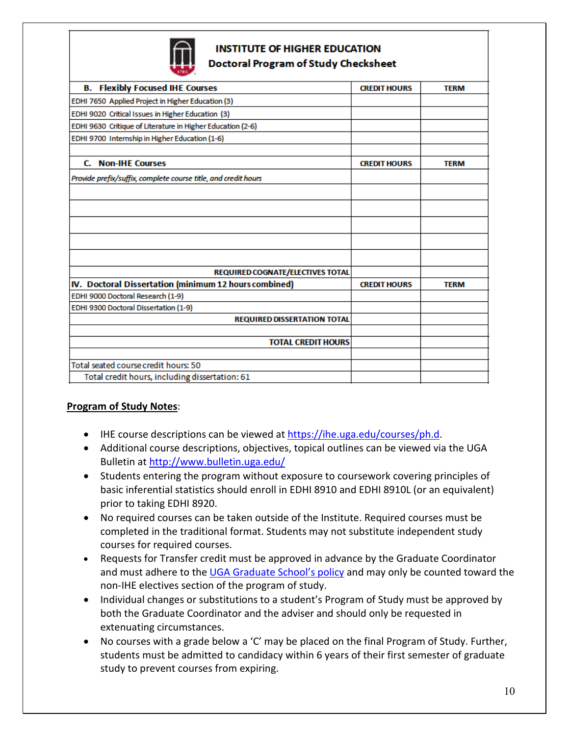

#### **INSTITUTE OF HIGHER EDUCATION Doctoral Program of Study Checksheet**

| $1100 - 1$                                                     |                     |             |
|----------------------------------------------------------------|---------------------|-------------|
| <b>B. Flexibly Focused IHE Courses</b>                         | <b>CREDIT HOURS</b> | <b>TERM</b> |
| EDHI 7650 Applied Project in Higher Education (3)              |                     |             |
| EDHI 9020 Critical Issues in Higher Education (3)              |                     |             |
| EDHI 9630 Critique of Literature in Higher Education (2-6)     |                     |             |
| EDHI 9700 Internship in Higher Education (1-6)                 |                     |             |
|                                                                |                     |             |
| <b>Non-IHE Courses</b><br>C.                                   | <b>CREDIT HOURS</b> | <b>TERM</b> |
| Provide prefix/suffix, complete course title, and credit hours |                     |             |
|                                                                |                     |             |
|                                                                |                     |             |
|                                                                |                     |             |
|                                                                |                     |             |
|                                                                |                     |             |
| REQUIRED COGNATE/ELECTIVES TOTAL                               |                     |             |
| IV. Doctoral Dissertation (minimum 12 hours combined)          | <b>CREDIT HOURS</b> | <b>TERM</b> |
| EDHI 9000 Doctoral Research (1-9)                              |                     |             |
| EDHI 9300 Doctoral Dissertation (1-9)                          |                     |             |
| <b>REQUIRED DISSERTATION TOTAL</b>                             |                     |             |
|                                                                |                     |             |
| <b>TOTAL CREDIT HOURS</b>                                      |                     |             |
|                                                                |                     |             |
| Total seated course credit hours: 50                           |                     |             |
| Total credit hours, including dissertation: 61                 |                     |             |
|                                                                |                     |             |

#### **Program of Study Notes**:

- IHE course descriptions can be viewed at [https://ihe.uga.edu/courses/ph.d.](https://ihe.uga.edu/courses/ph.d)
- Additional course descriptions, objectives, topical outlines can be viewed via the UGA Bulletin at <http://www.bulletin.uga.edu/>
- Students entering the program without exposure to coursework covering principles of basic inferential statistics should enroll in EDHI 8910 and EDHI 8910L (or an equivalent) prior to taking EDHI 8920.
- No required courses can be taken outside of the Institute. Required courses must be completed in the traditional format. Students may not substitute independent study courses for required courses.
- Requests for Transfer credit must be approved in advance by the Graduate Coordinator and must adhere to th[e UGA Graduate School's policy](https://grad.uga.edu/index.php/current-students/policies-procedures/academics/acceptance-of-credit-by-transfer/) and may only be counted toward the non-IHE electives section of the program of study.
- Individual changes or substitutions to a student's Program of Study must be approved by both the Graduate Coordinator and the adviser and should only be requested in extenuating circumstances.
- No courses with a grade below a 'C' may be placed on the final Program of Study. Further, students must be admitted to candidacy within 6 years of their first semester of graduate study to prevent courses from expiring.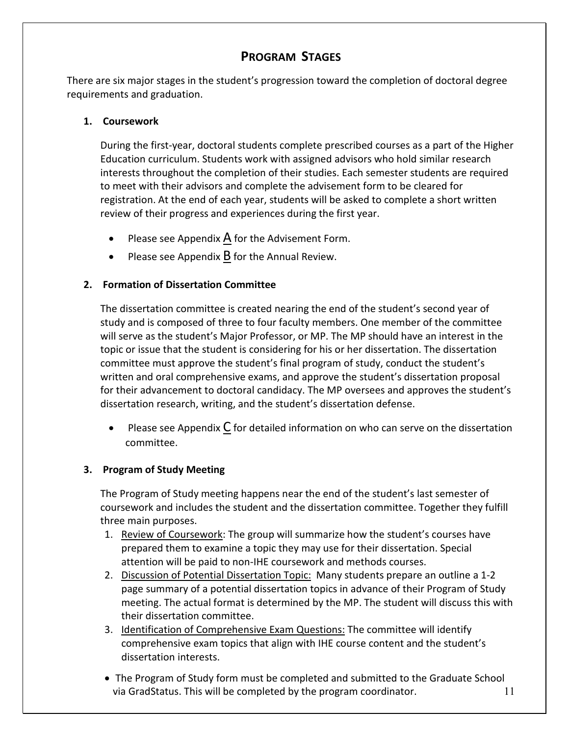# **PROGRAM STAGES**

There are six major stages in the student's progression toward the completion of doctoral degree requirements and graduation.

#### **1. Coursework**

During the first-year, doctoral students complete prescribed courses as a part of the Higher Education curriculum. Students work with assigned advisors who hold similar research interests throughout the completion of their studies. Each semester students are required to meet with their advisors and complete the advisement form to be cleared for registration. At the end of each year, students will be asked to complete a short written review of their progress and experiences during the first year.

- Please see Appendix  $\overline{A}$  for the Advisement Form.
- Please see Appendix  $\bf{B}$  for the Annual Review.

#### **2. Formation of Dissertation Committee**

The dissertation committee is created nearing the end of the student's second year of study and is composed of three to four faculty members. One member of the committee will serve as the student's Major Professor, or MP. The MP should have an interest in the topic or issue that the student is considering for his or her dissertation. The dissertation committee must approve the student's final program of study, conduct the student's written and oral comprehensive exams, and approve the student's dissertation proposal for their advancement to doctoral candidacy. The MP oversees and approves the student's dissertation research, writing, and the student's dissertation defense.

• Please see Appendix  $\underline{C}$  for detailed information on who can serve on the dissertation committee.

#### **3. Program of Study Meeting**

The Program of Study meeting happens near the end of the student's last semester of coursework and includes the student and the dissertation committee. Together they fulfill three main purposes.

- 1. Review of Coursework: The group will summarize how the student's courses have prepared them to examine a topic they may use for their dissertation. Special attention will be paid to non-IHE coursework and methods courses.
- 2. Discussion of Potential Dissertation Topic: Many students prepare an outline a 1-2 page summary of a potential dissertation topics in advance of their Program of Study meeting. The actual format is determined by the MP. The student will discuss this with their dissertation committee.
- 3. Identification of Comprehensive Exam Questions: The committee will identify comprehensive exam topics that align with IHE course content and the student's dissertation interests.
- 11 • The Program of Study form must be completed and submitted to the Graduate School via GradStatus. This will be completed by the program coordinator.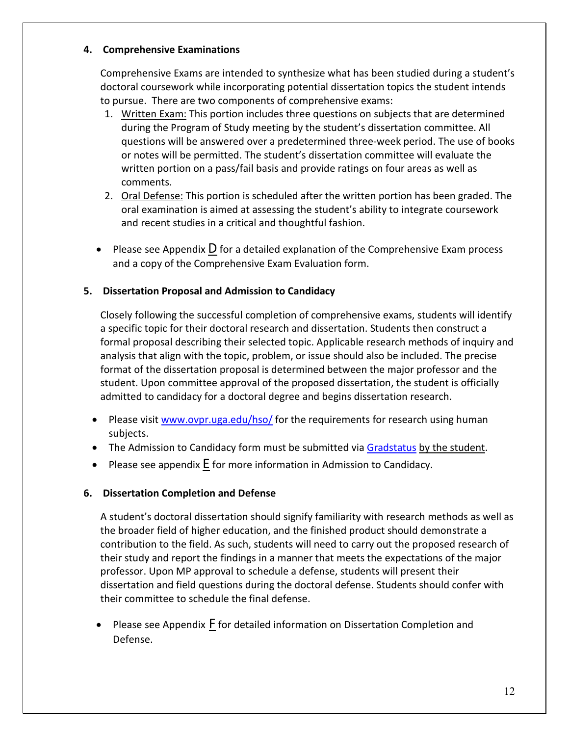#### **4. Comprehensive Examinations**

Comprehensive Exams are intended to synthesize what has been studied during a student's doctoral coursework while incorporating potential dissertation topics the student intends to pursue. There are two components of comprehensive exams:

- 1. Written Exam: This portion includes three questions on subjects that are determined during the Program of Study meeting by the student's dissertation committee. All questions will be answered over a predetermined three-week period. The use of books or notes will be permitted. The student's dissertation committee will evaluate the written portion on a pass/fail basis and provide ratings on four areas as well as comments.
- 2. Oral Defense: This portion is scheduled after the written portion has been graded. The oral examination is aimed at assessing the student's ability to integrate coursework and recent studies in a critical and thoughtful fashion.
- Please see Appendix D for a detailed explanation of the Comprehensive Exam process and a copy of the Comprehensive Exam Evaluation form.

#### **5. Dissertation Proposal and Admission to Candidacy**

Closely following the successful completion of comprehensive exams, students will identify a specific topic for their doctoral research and dissertation. Students then construct a formal proposal describing their selected topic. Applicable research methods of inquiry and analysis that align with the topic, problem, or issue should also be included. The precise format of the dissertation proposal is determined between the major professor and the student. Upon committee approval of the proposed dissertation, the student is officially admitted to candidacy for a doctoral degree and begins dissertation research.

- Please visit [www.ovpr.uga.edu/hso/](http://www.ovpr.uga.edu/hso/) for the requirements for research using human subjects.
- The Admission to Candidacy form must be submitted via [Gradstatus](https://gradstatus.uga.edu/Forms/G162) by the student.
- Please see appendix  $E$  for more information in Admission to Candidacy.

#### **6. Dissertation Completion and Defense**

A student's doctoral dissertation should signify familiarity with research methods as well as the broader field of higher education, and the finished product should demonstrate a contribution to the field. As such, students will need to carry out the proposed research of their study and report the findings in a manner that meets the expectations of the major professor. Upon MP approval to schedule a defense, students will present their dissertation and field questions during the doctoral defense. Students should confer with their committee to schedule the final defense.

• Please see Appendix F for detailed information on Dissertation Completion and Defense.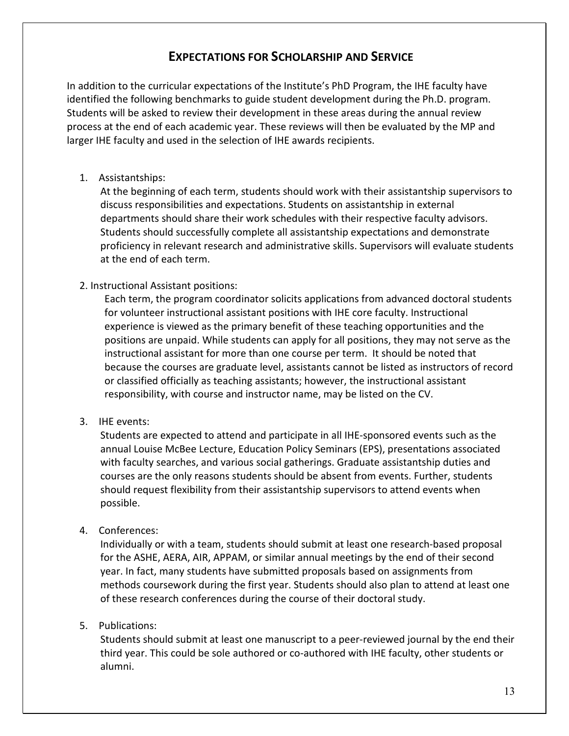## **EXPECTATIONS FOR SCHOLARSHIP AND SERVICE**

In addition to the curricular expectations of the Institute's PhD Program, the IHE faculty have identified the following benchmarks to guide student development during the Ph.D. program. Students will be asked to review their development in these areas during the annual review process at the end of each academic year. These reviews will then be evaluated by the MP and larger IHE faculty and used in the selection of IHE awards recipients.

#### 1. Assistantships:

At the beginning of each term, students should work with their assistantship supervisors to discuss responsibilities and expectations. Students on assistantship in external departments should share their work schedules with their respective faculty advisors. Students should successfully complete all assistantship expectations and demonstrate proficiency in relevant research and administrative skills. Supervisors will evaluate students at the end of each term.

#### 2. Instructional Assistant positions:

Each term, the program coordinator solicits applications from advanced doctoral students for volunteer instructional assistant positions with IHE core faculty. Instructional experience is viewed as the primary benefit of these teaching opportunities and the positions are unpaid. While students can apply for all positions, they may not serve as the instructional assistant for more than one course per term. It should be noted that because the courses are graduate level, assistants cannot be listed as instructors of record or classified officially as teaching assistants; however, the instructional assistant responsibility, with course and instructor name, may be listed on the CV.

#### 3. IHE events:

Students are expected to attend and participate in all IHE-sponsored events such as the annual Louise McBee Lecture, Education Policy Seminars (EPS), presentations associated with faculty searches, and various social gatherings. Graduate assistantship duties and courses are the only reasons students should be absent from events. Further, students should request flexibility from their assistantship supervisors to attend events when possible.

#### 4. Conferences:

Individually or with a team, students should submit at least one research-based proposal for the ASHE, AERA, AIR, APPAM, or similar annual meetings by the end of their second year. In fact, many students have submitted proposals based on assignments from methods coursework during the first year. Students should also plan to attend at least one of these research conferences during the course of their doctoral study.

#### 5. Publications:

Students should submit at least one manuscript to a peer-reviewed journal by the end their third year. This could be sole authored or co-authored with IHE faculty, other students or alumni.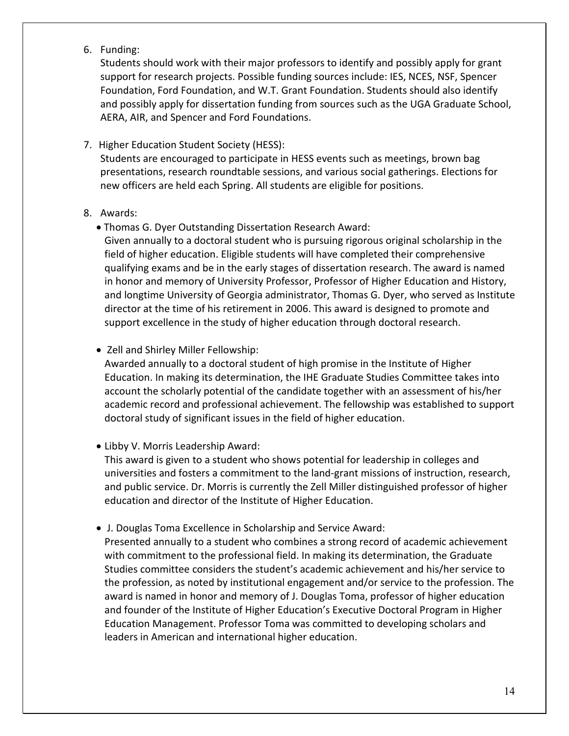6. Funding:

Students should work with their major professors to identify and possibly apply for grant support for research projects. Possible funding sources include: IES, NCES, NSF, Spencer Foundation, Ford Foundation, and W.T. Grant Foundation. Students should also identify and possibly apply for dissertation funding from sources such as the UGA Graduate School, AERA, AIR, and Spencer and Ford Foundations.

- 7. Higher Education Student Society (HESS): Students are encouraged to participate in HESS events such as meetings, brown bag presentations, research roundtable sessions, and various social gatherings. Elections for new officers are held each Spring. All students are eligible for positions.
- 8. Awards:
	- Thomas G. Dyer Outstanding Dissertation Research Award:

Given annually to a doctoral student who is pursuing rigorous original scholarship in the field of higher education. Eligible students will have completed their comprehensive qualifying exams and be in the early stages of dissertation research. The award is named in honor and memory of University Professor, Professor of Higher Education and History, and longtime University of Georgia administrator, Thomas G. Dyer, who served as Institute director at the time of his retirement in 2006. This award is designed to promote and support excellence in the study of higher education through doctoral research.

• Zell and Shirley Miller Fellowship:

Awarded annually to a doctoral student of high promise in the Institute of Higher Education. In making its determination, the IHE Graduate Studies Committee takes into account the scholarly potential of the candidate together with an assessment of his/her academic record and professional achievement. The fellowship was established to support doctoral study of significant issues in the field of higher education.

• Libby V. Morris Leadership Award:

This award is given to a student who shows potential for leadership in colleges and universities and fosters a commitment to the land-grant missions of instruction, research, and public service. Dr. Morris is currently the Zell Miller distinguished professor of higher education and director of the Institute of Higher Education.

• J. Douglas Toma Excellence in Scholarship and Service Award:

Presented annually to a student who combines a strong record of academic achievement with commitment to the professional field. In making its determination, the Graduate Studies committee considers the student's academic achievement and his/her service to the profession, as noted by institutional engagement and/or service to the profession. The award is named in honor and memory of J. Douglas Toma, professor of higher education and founder of the Institute of Higher Education's Executive Doctoral Program in Higher Education Management. Professor Toma was committed to developing scholars and leaders in American and international higher education.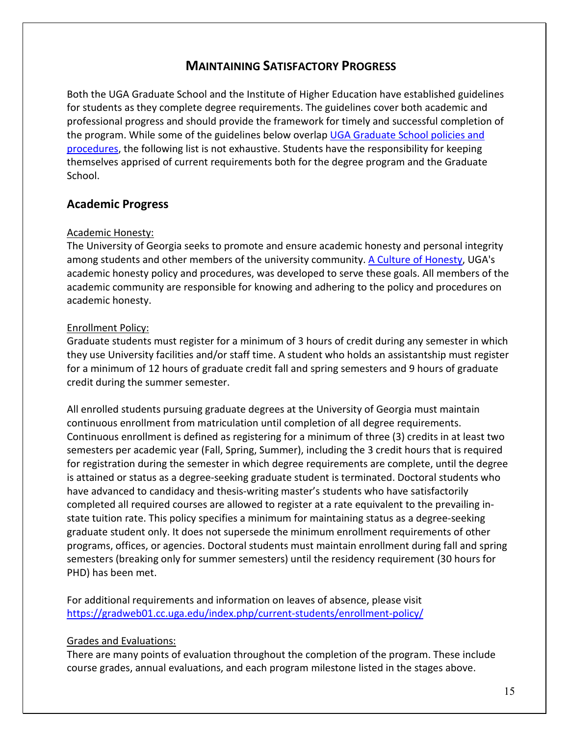### **MAINTAINING SATISFACTORY PROGRESS**

Both the UGA Graduate School and the Institute of Higher Education have established guidelines for students as they complete degree requirements. The guidelines cover both academic and professional progress and should provide the framework for timely and successful completion of the program. While some of the guidelines below overlap [UGA Graduate School policies and](https://grad.uga.edu/index.php/current-students/policies-procedures/)  [procedures,](https://grad.uga.edu/index.php/current-students/policies-procedures/) the following list is not exhaustive. Students have the responsibility for keeping themselves apprised of current requirements both for the degree program and the Graduate School.

#### **Academic Progress**

#### Academic Honesty:

The University of Georgia seeks to promote and ensure academic honesty and personal integrity among students and other members of the university community. [A Culture of Honesty,](https://honesty.uga.edu/_resources/documents/academic_honesty_policy_2017.pdf) UGA's academic honesty policy and procedures, was developed to serve these goals. All members of the academic community are responsible for knowing and adhering to the policy and procedures on academic honesty.

#### Enrollment Policy:

Graduate students must register for a minimum of 3 hours of credit during any semester in which they use University facilities and/or staff time. A student who holds an assistantship must register for a minimum of 12 hours of graduate credit fall and spring semesters and 9 hours of graduate credit during the summer semester.

All enrolled students pursuing graduate degrees at the University of Georgia must maintain continuous enrollment from matriculation until completion of all degree requirements. Continuous enrollment is defined as registering for a minimum of three (3) credits in at least two semesters per academic year (Fall, Spring, Summer), including the 3 credit hours that is required for registration during the semester in which degree requirements are complete, until the degree is attained or status as a degree-seeking graduate student is terminated. Doctoral students who have advanced to candidacy and thesis-writing master's students who have satisfactorily completed all required courses are allowed to register at a rate equivalent to the prevailing instate tuition rate. This policy specifies a minimum for maintaining status as a degree-seeking graduate student only. It does not supersede the minimum enrollment requirements of other programs, offices, or agencies. Doctoral students must maintain enrollment during fall and spring semesters (breaking only for summer semesters) until the residency requirement (30 hours for PHD) has been met.

For additional requirements and information on leaves of absence, please visit <https://gradweb01.cc.uga.edu/index.php/current-students/enrollment-policy/>

#### Grades and Evaluations:

There are many points of evaluation throughout the completion of the program. These include course grades, annual evaluations, and each program milestone listed in the stages above.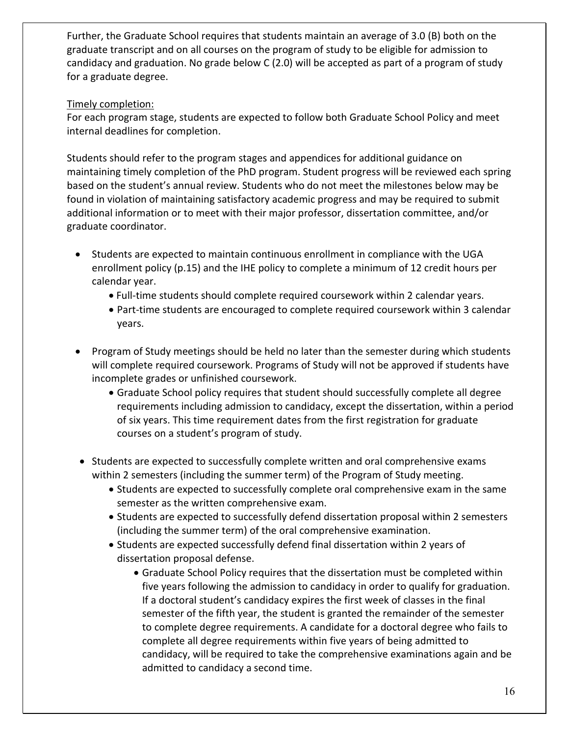Further, the Graduate School requires that students maintain an average of 3.0 (B) both on the graduate transcript and on all courses on the program of study to be eligible for admission to candidacy and graduation. No grade below C (2.0) will be accepted as part of a program of study for a graduate degree.

#### Timely completion:

For each program stage, students are expected to follow both Graduate School Policy and meet internal deadlines for completion.

Students should refer to the program stages and appendices for additional guidance on maintaining timely completion of the PhD program. Student progress will be reviewed each spring based on the student's annual review. Students who do not meet the milestones below may be found in violation of maintaining satisfactory academic progress and may be required to submit additional information or to meet with their major professor, dissertation committee, and/or graduate coordinator.

- Students are expected to maintain continuous enrollment in compliance with the UGA enrollment policy (p.15) and the IHE policy to complete a minimum of 12 credit hours per calendar year.
	- Full-time students should complete required coursework within 2 calendar years.
	- Part-time students are encouraged to complete required coursework within 3 calendar years.
- Program of Study meetings should be held no later than the semester during which students will complete required coursework. Programs of Study will not be approved if students have incomplete grades or unfinished coursework.
	- Graduate School policy requires that student should successfully complete all degree requirements including admission to candidacy, except the dissertation, within a period of six years. This time requirement dates from the first registration for graduate courses on a student's program of study.
- Students are expected to successfully complete written and oral comprehensive exams within 2 semesters (including the summer term) of the Program of Study meeting.
	- Students are expected to successfully complete oral comprehensive exam in the same semester as the written comprehensive exam.
	- Students are expected to successfully defend dissertation proposal within 2 semesters (including the summer term) of the oral comprehensive examination.
	- Students are expected successfully defend final dissertation within 2 years of dissertation proposal defense.
		- Graduate School Policy requires that the dissertation must be completed within five years following the admission to candidacy in order to qualify for graduation. If a doctoral student's candidacy expires the first week of classes in the final semester of the fifth year, the student is granted the remainder of the semester to complete degree requirements. A candidate for a doctoral degree who fails to complete all degree requirements within five years of being admitted to candidacy, will be required to take the comprehensive examinations again and be admitted to candidacy a second time.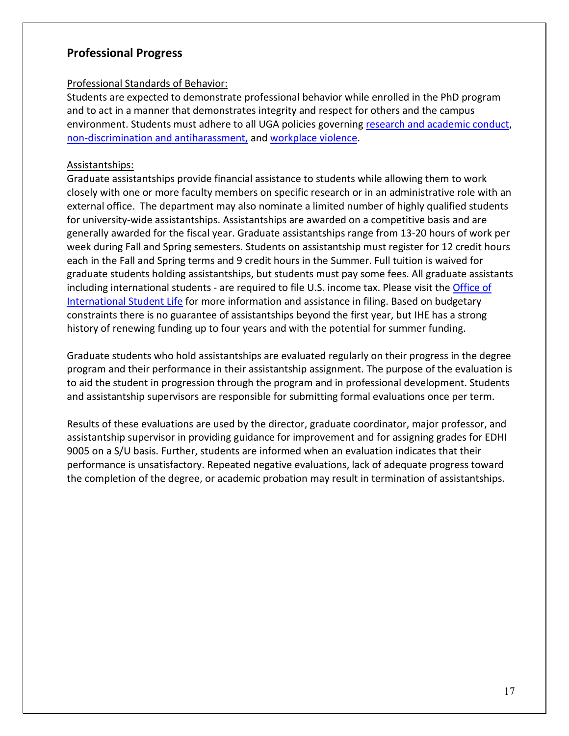#### **Professional Progress**

#### Professional Standards of Behavior:

Students are expected to demonstrate professional behavior while enrolled in the PhD program and to act in a manner that demonstrates integrity and respect for others and the campus environment. Students must adhere to all UGA policies governing [research and academic conduct,](https://conduct.uga.edu/content_page/code-of-conduct) [non-discrimination and antiharassment,](https://eoo.uga.edu/policies/non-discrimination-anti-harassment-policy) and [workplace violence.](https://policies.uga.edu/Human-Resources/Employment/Employment-Related-Policies/Workplace-Violence/)

#### Assistantships:

Graduate assistantships provide financial assistance to students while allowing them to work closely with one or more faculty members on specific research or in an administrative role with an external office. The department may also nominate a limited number of highly qualified students for university-wide assistantships. Assistantships are awarded on a competitive basis and are generally awarded for the fiscal year. Graduate assistantships range from 13-20 hours of work per week during Fall and Spring semesters. Students on assistantship must register for 12 credit hours each in the Fall and Spring terms and 9 credit hours in the Summer. Full tuition is waived for graduate students holding assistantships, but students must pay some fees. All graduate assistants including international students - are required to file U.S. income tax. Please visit the [Office of](https://isl.uga.edu/taxes/)  [International Student Life](https://isl.uga.edu/taxes/) for more information and assistance in filing. Based on budgetary constraints there is no guarantee of assistantships beyond the first year, but IHE has a strong history of renewing funding up to four years and with the potential for summer funding.

Graduate students who hold assistantships are evaluated regularly on their progress in the degree program and their performance in their assistantship assignment. The purpose of the evaluation is to aid the student in progression through the program and in professional development. Students and assistantship supervisors are responsible for submitting formal evaluations once per term.

Results of these evaluations are used by the director, graduate coordinator, major professor, and assistantship supervisor in providing guidance for improvement and for assigning grades for EDHI 9005 on a S/U basis. Further, students are informed when an evaluation indicates that their performance is unsatisfactory. Repeated negative evaluations, lack of adequate progress toward the completion of the degree, or academic probation may result in termination of assistantships.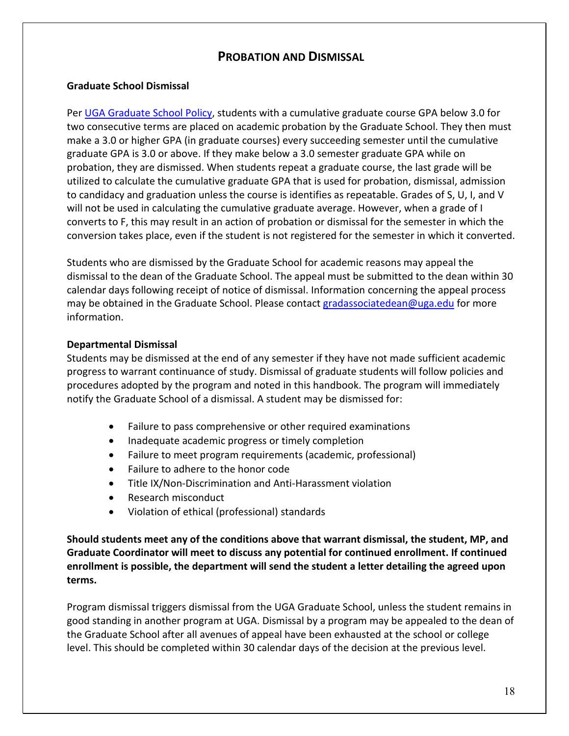## **PROBATION AND DISMISSAL**

#### **Graduate School Dismissal**

Per [UGA Graduate School Policy,](https://grad.uga.edu/index.php/current-students/policies-procedures/academics/probation-and-dismissal/) students with a cumulative graduate course GPA below 3.0 for two consecutive terms are placed on academic probation by the Graduate School. They then must make a 3.0 or higher GPA (in graduate courses) every succeeding semester until the cumulative graduate GPA is 3.0 or above. If they make below a 3.0 semester graduate GPA while on probation, they are dismissed. When students repeat a graduate course, the last grade will be utilized to calculate the cumulative graduate GPA that is used for probation, dismissal, admission to candidacy and graduation unless the course is identifies as repeatable. Grades of S, U, I, and V will not be used in calculating the cumulative graduate average. However, when a grade of I converts to F, this may result in an action of probation or dismissal for the semester in which the conversion takes place, even if the student is not registered for the semester in which it converted.

Students who are dismissed by the Graduate School for academic reasons may appeal the dismissal to the dean of the Graduate School. The appeal must be submitted to the dean within 30 calendar days following receipt of notice of dismissal. Information concerning the appeal process may be obtained in the Graduate School. Please contac[t gradassociatedean@uga.edu](mailto:gradassociatedean@uga.edu) for more information.

#### **Departmental Dismissal**

Students may be dismissed at the end of any semester if they have not made sufficient academic progress to warrant continuance of study. Dismissal of graduate students will follow policies and procedures adopted by the program and noted in this handbook. The program will immediately notify the Graduate School of a dismissal. A student may be dismissed for:

- Failure to pass comprehensive or other required examinations
- Inadequate academic progress or timely completion
- Failure to meet program requirements (academic, professional)
- Failure to adhere to the honor code
- Title IX/Non-Discrimination and Anti-Harassment violation
- Research misconduct
- Violation of ethical (professional) standards

**Should students meet any of the conditions above that warrant dismissal, the student, MP, and Graduate Coordinator will meet to discuss any potential for continued enrollment. If continued enrollment is possible, the department will send the student a letter detailing the agreed upon terms.**

Program dismissal triggers dismissal from the UGA Graduate School, unless the student remains in good standing in another program at UGA. Dismissal by a program may be appealed to the dean of the Graduate School after all avenues of appeal have been exhausted at the school or college level. This should be completed within 30 calendar days of the decision at the previous level.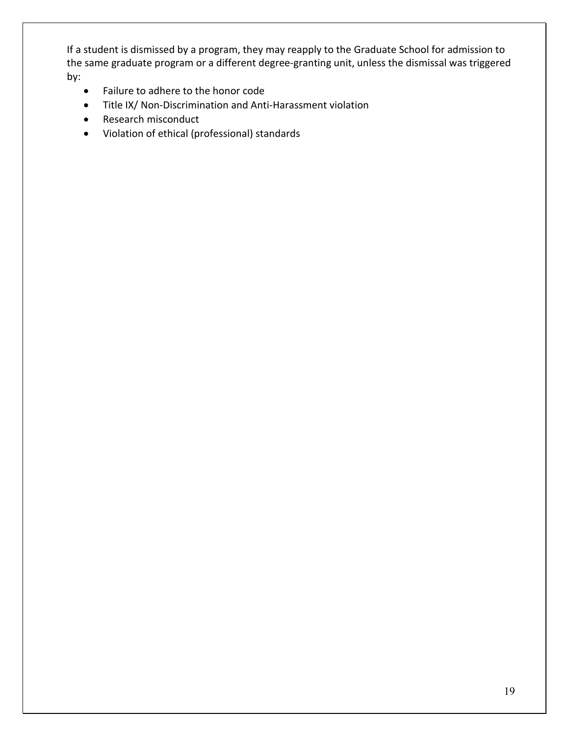If a student is dismissed by a program, they may reapply to the Graduate School for admission to the same graduate program or a different degree-granting unit, unless the dismissal was triggered by:

- Failure to adhere to the honor code
- Title IX/ Non-Discrimination and Anti-Harassment violation
- Research misconduct
- Violation of ethical (professional) standards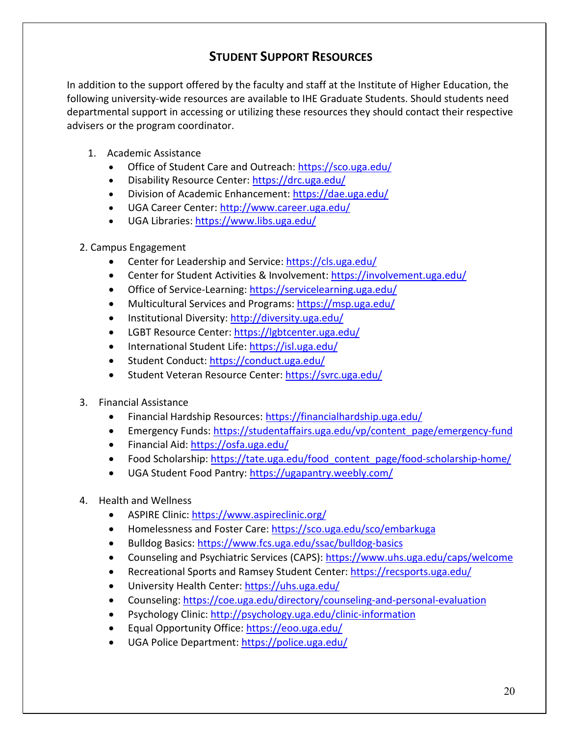# **STUDENT SUPPORT RESOURCES**

In addition to the support offered by the faculty and staff at the Institute of Higher Education, the following university-wide resources are available to IHE Graduate Students. Should students need departmental support in accessing or utilizing these resources they should contact their respective advisers or the program coordinator.

- 1. Academic Assistance
	- Office of Student Care and Outreach[: https://sco.uga.edu/](https://sco.uga.edu/)
	- Disability Resource Center:<https://drc.uga.edu/>
	- Division of Academic Enhancement:<https://dae.uga.edu/>
	- UGA Career Center: <http://www.career.uga.edu/>
	- UGA Libraries:<https://www.libs.uga.edu/>
- 2. Campus Engagement
	- Center for Leadership and Service:<https://cls.uga.edu/>
	- Center for Student Activities & Involvement:<https://involvement.uga.edu/>
	- Office of Service-Learning:<https://servicelearning.uga.edu/>
	- Multicultural Services and Programs[: https://msp.uga.edu/](https://msp.uga.edu/)
	- Institutional Diversity:<http://diversity.uga.edu/>
	- LGBT Resource Center:<https://lgbtcenter.uga.edu/>
	- International Student Life:<https://isl.uga.edu/>
	- Student Conduct:<https://conduct.uga.edu/>
	- Student Veteran Resource Center:<https://svrc.uga.edu/>
- 3. Financial Assistance
	- Financial Hardship Resources: <https://financialhardship.uga.edu/>
	- Emergency Funds: [https://studentaffairs.uga.edu/vp/content\\_page/emergency-fund](https://studentaffairs.uga.edu/vp/content_page/emergency-fund)
	- Financial Aid:<https://osfa.uga.edu/>
	- Food Scholarship: [https://tate.uga.edu/food\\_content\\_page/food-scholarship-home/](https://tate.uga.edu/food_content_page/food-scholarship-home/)
	- UGA Student Food Pantry:<https://ugapantry.weebly.com/>
- 4. Health and Wellness
	- ASPIRE Clinic:<https://www.aspireclinic.org/>
	- Homelessness and Foster Care:<https://sco.uga.edu/sco/embarkuga>
	- Bulldog Basics:<https://www.fcs.uga.edu/ssac/bulldog-basics>
	- Counseling and Psychiatric Services (CAPS):<https://www.uhs.uga.edu/caps/welcome>
	- Recreational Sports and Ramsey Student Center:<https://recsports.uga.edu/>
	- University Health Center:<https://uhs.uga.edu/>
	- Counseling:<https://coe.uga.edu/directory/counseling-and-personal-evaluation>
	- Psychology Clinic[: http://psychology.uga.edu/clinic-information](http://psychology.uga.edu/clinic-information)
	- Equal Opportunity Office:<https://eoo.uga.edu/>
	- UGA Police Department:<https://police.uga.edu/>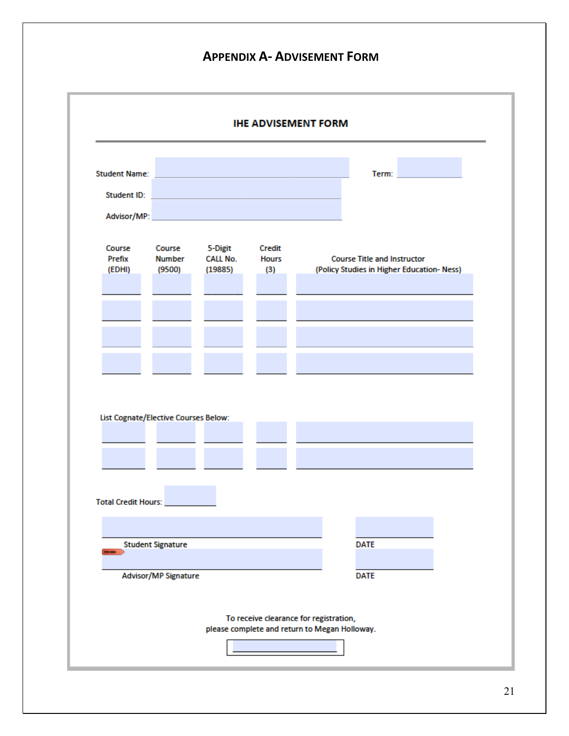# **APPENDIX A- ADVISEMENT FORM**

| <b>IHE ADVISEMENT FORM</b>                                    |                                   |                                       |                               |                                                                                 |  |  |  |  |
|---------------------------------------------------------------|-----------------------------------|---------------------------------------|-------------------------------|---------------------------------------------------------------------------------|--|--|--|--|
|                                                               |                                   |                                       |                               |                                                                                 |  |  |  |  |
| <b>Student Name:</b>                                          |                                   |                                       |                               | Term:                                                                           |  |  |  |  |
| Student ID:                                                   |                                   |                                       |                               |                                                                                 |  |  |  |  |
| Advisor/MP:                                                   |                                   |                                       |                               |                                                                                 |  |  |  |  |
|                                                               |                                   |                                       |                               |                                                                                 |  |  |  |  |
| Course<br>Prefix<br>(EDHI)                                    | Course<br><b>Number</b><br>(9500) | 5-Digit<br><b>CALL No.</b><br>(19885) | Credit<br><b>Hours</b><br>(3) | <b>Course Title and Instructor</b><br>(Policy Studies in Higher Education-Ness) |  |  |  |  |
|                                                               |                                   |                                       |                               |                                                                                 |  |  |  |  |
|                                                               |                                   |                                       |                               |                                                                                 |  |  |  |  |
|                                                               |                                   |                                       |                               |                                                                                 |  |  |  |  |
|                                                               |                                   |                                       |                               |                                                                                 |  |  |  |  |
|                                                               |                                   |                                       |                               |                                                                                 |  |  |  |  |
|                                                               |                                   |                                       |                               |                                                                                 |  |  |  |  |
| List Cognate/Elective Courses Below:<br>Total Credit Hours: _ |                                   |                                       |                               |                                                                                 |  |  |  |  |
|                                                               |                                   |                                       |                               |                                                                                 |  |  |  |  |
| <b>BOY KOR</b>                                                | <b>Student Signature</b>          |                                       |                               | <b>DATE</b>                                                                     |  |  |  |  |
|                                                               | Advisor/MP Signature              |                                       |                               | <b>DATE</b>                                                                     |  |  |  |  |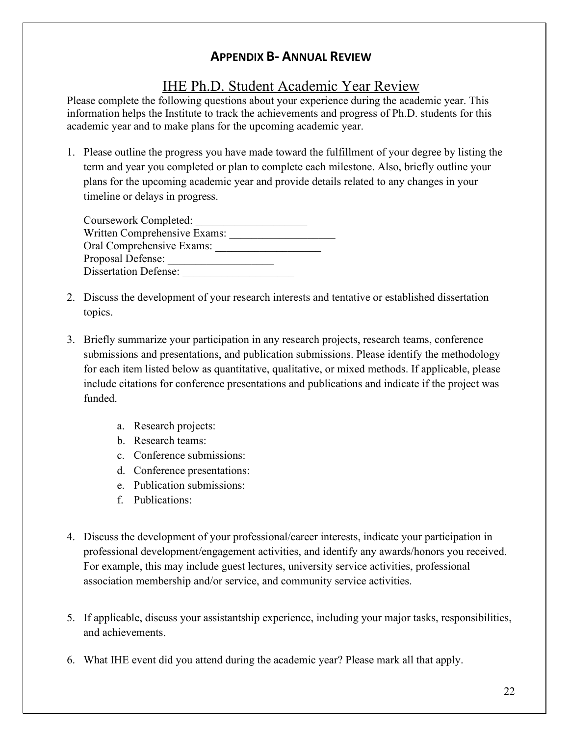# **APPENDIX B- ANNUAL REVIEW**

# IHE Ph.D. Student Academic Year Review

Please complete the following questions about your experience during the academic year. This information helps the Institute to track the achievements and progress of Ph.D. students for this academic year and to make plans for the upcoming academic year.

1. Please outline the progress you have made toward the fulfillment of your degree by listing the term and year you completed or plan to complete each milestone. Also, briefly outline your plans for the upcoming academic year and provide details related to any changes in your timeline or delays in progress.

| Coursework Completed:        |  |
|------------------------------|--|
| Written Comprehensive Exams: |  |
| Oral Comprehensive Exams:    |  |
| Proposal Defense:            |  |
| <b>Dissertation Defense:</b> |  |

- 2. Discuss the development of your research interests and tentative or established dissertation topics.
- 3. Briefly summarize your participation in any research projects, research teams, conference submissions and presentations, and publication submissions. Please identify the methodology for each item listed below as quantitative, qualitative, or mixed methods. If applicable, please include citations for conference presentations and publications and indicate if the project was funded.
	- a. Research projects:
	- b. Research teams:
	- c. Conference submissions:
	- d. Conference presentations:
	- e. Publication submissions:
	- f. Publications:
- 4. Discuss the development of your professional/career interests, indicate your participation in professional development/engagement activities, and identify any awards/honors you received. For example, this may include guest lectures, university service activities, professional association membership and/or service, and community service activities.
- 5. If applicable, discuss your assistantship experience, including your major tasks, responsibilities, and achievements.
- 6. What IHE event did you attend during the academic year? Please mark all that apply.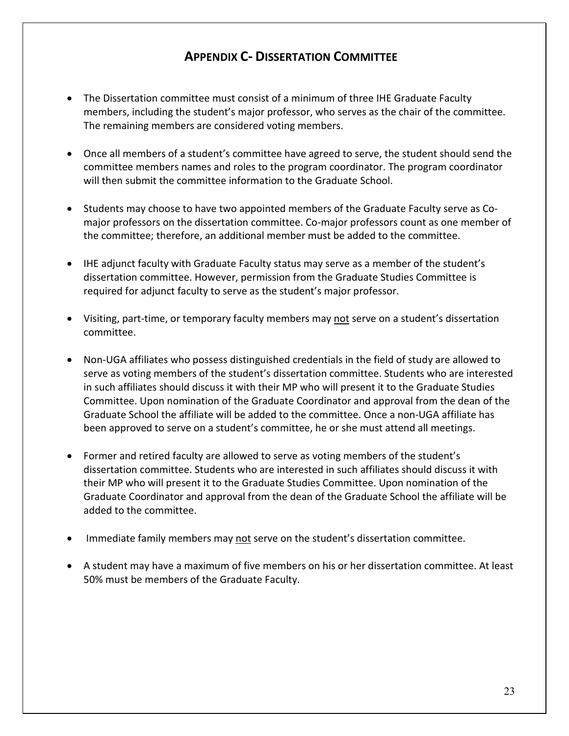# **APPENDIX C- DISSERTATION COMMITTEE**

- The Dissertation committee must consist of a minimum of three IHE Graduate Faculty members, including the student's major professor, who serves as the chair of the committee. The remaining members are considered voting members.
- Once all members of a student's committee have agreed to serve, the student should send the committee members names and roles to the program coordinator. The program coordinator will then submit the committee information to the Graduate School.
- Students may choose to have two appointed members of the Graduate Faculty serve as Comajor professors on the dissertation committee. Co-major professors count as one member of the committee; therefore, an additional member must be added to the committee.
- IHE adjunct faculty with Graduate Faculty status may serve as a member of the student's dissertation committee. However, permission from the Graduate Studies Committee is required for adjunct faculty to serve as the student's major professor.
- Visiting, part-time, or temporary faculty members may not serve on a student's dissertation committee.
- Non-UGA affiliates who possess distinguished credentials in the field of study are allowed to serve as voting members of the student's dissertation committee. Students who are interested in such affiliates should discuss it with their MP who will present it to the Graduate Studies Committee. Upon nomination of the Graduate Coordinator and approval from the dean of the Graduate School the affiliate will be added to the committee. Once a non-UGA affiliate has been approved to serve on a student's committee, he or she must attend all meetings.
- Former and retired faculty are allowed to serve as voting members of the student's dissertation committee. Students who are interested in such affiliates should discuss it with their MP who will present it to the Graduate Studies Committee. Upon nomination of the Graduate Coordinator and approval from the dean of the Graduate School the affiliate will be added to the committee.
- Immediate family members may not serve on the student's dissertation committee.
- A student may have a maximum of five members on his or her dissertation committee. At least 50% must be members of the Graduate Faculty.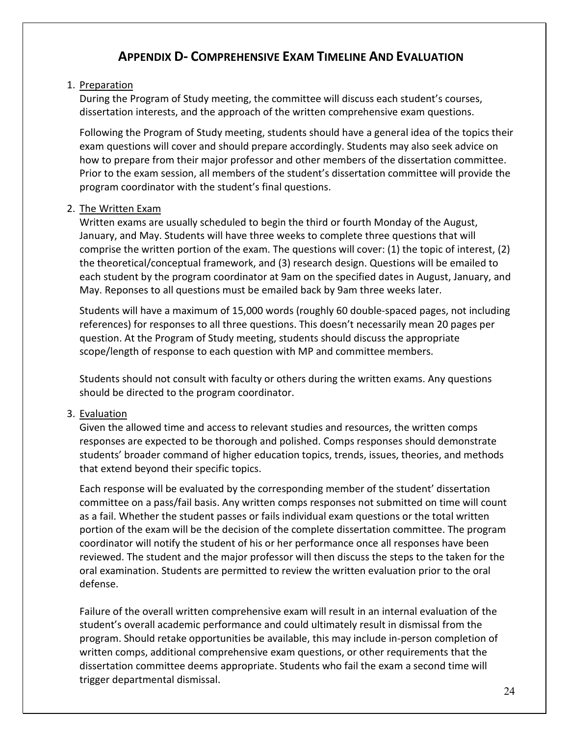# **APPENDIX D- COMPREHENSIVE EXAM TIMELINE AND EVALUATION**

#### 1. Preparation

During the Program of Study meeting, the committee will discuss each student's courses, dissertation interests, and the approach of the written comprehensive exam questions.

Following the Program of Study meeting, students should have a general idea of the topics their exam questions will cover and should prepare accordingly. Students may also seek advice on how to prepare from their major professor and other members of the dissertation committee. Prior to the exam session, all members of the student's dissertation committee will provide the program coordinator with the student's final questions.

#### 2. The Written Exam

Written exams are usually scheduled to begin the third or fourth Monday of the August, January, and May. Students will have three weeks to complete three questions that will comprise the written portion of the exam. The questions will cover: (1) the topic of interest, (2) the theoretical/conceptual framework, and (3) research design. Questions will be emailed to each student by the program coordinator at 9am on the specified dates in August, January, and May. Reponses to all questions must be emailed back by 9am three weeks later.

Students will have a maximum of 15,000 words (roughly 60 double-spaced pages, not including references) for responses to all three questions. This doesn't necessarily mean 20 pages per question. At the Program of Study meeting, students should discuss the appropriate scope/length of response to each question with MP and committee members.

Students should not consult with faculty or others during the written exams. Any questions should be directed to the program coordinator.

#### 3. Evaluation

Given the allowed time and access to relevant studies and resources, the written comps responses are expected to be thorough and polished. Comps responses should demonstrate students' broader command of higher education topics, trends, issues, theories, and methods that extend beyond their specific topics.

Each response will be evaluated by the corresponding member of the student' dissertation committee on a pass/fail basis. Any written comps responses not submitted on time will count as a fail. Whether the student passes or fails individual exam questions or the total written portion of the exam will be the decision of the complete dissertation committee. The program coordinator will notify the student of his or her performance once all responses have been reviewed. The student and the major professor will then discuss the steps to the taken for the oral examination. Students are permitted to review the written evaluation prior to the oral defense.

Failure of the overall written comprehensive exam will result in an internal evaluation of the student's overall academic performance and could ultimately result in dismissal from the program. Should retake opportunities be available, this may include in-person completion of written comps, additional comprehensive exam questions, or other requirements that the dissertation committee deems appropriate. Students who fail the exam a second time will trigger departmental dismissal.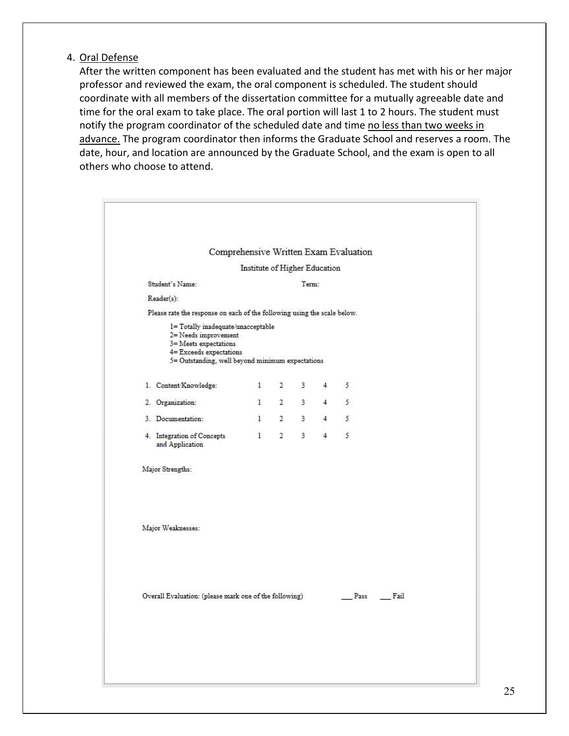#### 4. Oral Defense

After the written component has been evaluated and the student has met with his or her major professor and reviewed the exam, the oral component is scheduled. The student should coordinate with all members of the dissertation committee for a mutually agreeable date and time for the oral exam to take place. The oral portion will last 1 to 2 hours. The student must notify the program coordinator of the scheduled date and time no less than two weeks in advance. The program coordinator then informs the Graduate School and reserves a room. The date, hour, and location are announced by the Graduate School, and the exam is open to all others who choose to attend.

|                                               |                                                                                                                                                                    |                               |                |                |                | Comprehensive Written Exam Evaluation |      |  |
|-----------------------------------------------|--------------------------------------------------------------------------------------------------------------------------------------------------------------------|-------------------------------|----------------|----------------|----------------|---------------------------------------|------|--|
|                                               |                                                                                                                                                                    | Institute of Higher Education |                |                |                |                                       |      |  |
| Student's Name:                               |                                                                                                                                                                    |                               |                | Term:          |                |                                       |      |  |
| Reader(s):                                    |                                                                                                                                                                    |                               |                |                |                |                                       |      |  |
|                                               | Please rate the response on each of the following using the scale below.                                                                                           |                               |                |                |                |                                       |      |  |
|                                               | 1= Totally inadequate/unacceptable<br>2= Needs improvement<br>3= Meets expectations<br>4= Exceeds expectations<br>5= Outstanding, well beyond minimum expectations |                               |                |                |                |                                       |      |  |
| 1. Content/Knowledge:                         |                                                                                                                                                                    | $\mathbf{1}$                  | $2^{\circ}$    | 3              | 4              | 5                                     |      |  |
| 2. Organization:                              |                                                                                                                                                                    | $\mathbf{1}$                  | $\overline{2}$ | $3 -$          |                | 45                                    |      |  |
| 3. Documentation:                             |                                                                                                                                                                    | $\mathbf{1}$                  | $\overline{2}$ | 3 <sup>1</sup> |                | $4\overline{5}$                       |      |  |
| 4. Integration of Concepts<br>and Application |                                                                                                                                                                    | $\mathbf{1}$                  | $\overline{2}$ | $\overline{3}$ | $\overline{4}$ | 5                                     |      |  |
| Major Strengths:                              |                                                                                                                                                                    |                               |                |                |                |                                       |      |  |
| Major Weaknesses:                             |                                                                                                                                                                    |                               |                |                |                |                                       |      |  |
|                                               | Overall Evaluation: (please mark one of the following)                                                                                                             |                               |                |                |                | Pass                                  | Fail |  |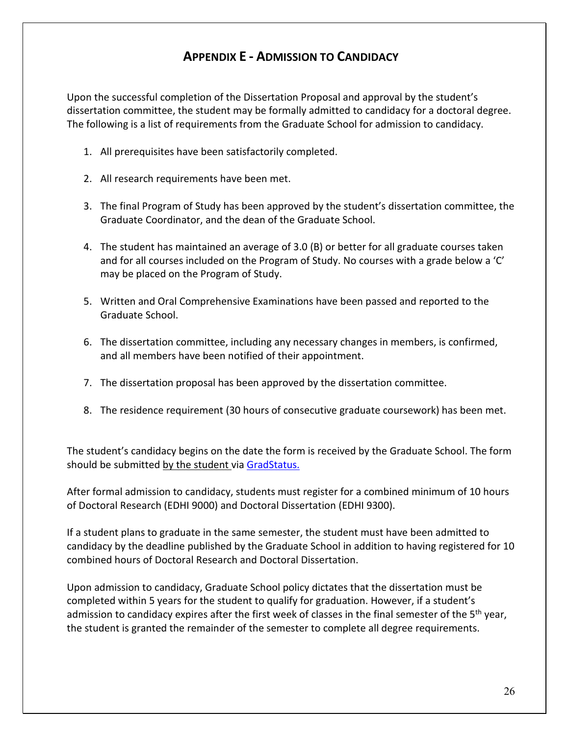# **APPENDIX E - ADMISSION TO CANDIDACY**

Upon the successful completion of the Dissertation Proposal and approval by the student's dissertation committee, the student may be formally admitted to candidacy for a doctoral degree. The following is a list of requirements from the Graduate School for admission to candidacy.

- 1. All prerequisites have been satisfactorily completed.
- 2. All research requirements have been met.
- 3. The final Program of Study has been approved by the student's dissertation committee, the Graduate Coordinator, and the dean of the Graduate School.
- 4. The student has maintained an average of 3.0 (B) or better for all graduate courses taken and for all courses included on the Program of Study. No courses with a grade below a 'C' may be placed on the Program of Study.
- 5. Written and Oral Comprehensive Examinations have been passed and reported to the Graduate School.
- 6. The dissertation committee, including any necessary changes in members, is confirmed, and all members have been notified of their appointment.
- 7. The dissertation proposal has been approved by the dissertation committee.
- 8. The residence requirement (30 hours of consecutive graduate coursework) has been met.

The student's candidacy begins on the date the form is received by the Graduate School. The form should be submitted by the student via GradStatus.

After formal admission to candidacy, students must register for a combined minimum of 10 hours of Doctoral Research (EDHI 9000) and Doctoral Dissertation (EDHI 9300).

If a student plans to graduate in the same semester, the student must have been admitted to candidacy by the deadline published by the Graduate School in addition to having registered for 10 combined hours of Doctoral Research and Doctoral Dissertation.

Upon admission to candidacy, Graduate School policy dictates that the dissertation must be completed within 5 years for the student to qualify for graduation. However, if a student's admission to candidacy expires after the first week of classes in the final semester of the  $5<sup>th</sup>$  year, the student is granted the remainder of the semester to complete all degree requirements.